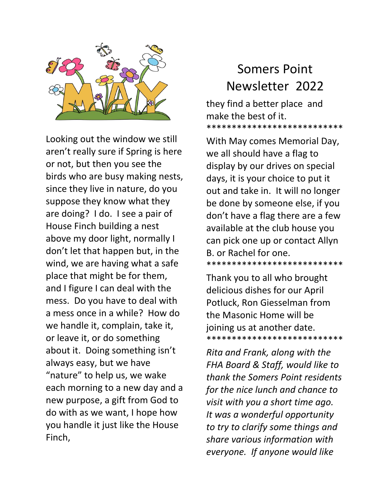

Looking out the window we still aren't really sure if Spring is here or not, but then you see the birds who are busy making nests, since they live in nature, do you suppose they know what they are doing? I do. I see a pair of House Finch building a nest above my door light, normally I don't let that happen but, in the wind, we are having what a safe place that might be for them, and I figure I can deal with the mess. Do you have to deal with a mess once in a while? How do we handle it, complain, take it, or leave it, or do something about it. Doing something isn't always easy, but we have "nature" to help us, we wake each morning to a new day and a new purpose, a gift from God to do with as we want, I hope how you handle it just like the House Finch,

## Somers Point Newsletter 2022

they find a better place and make the best of it. \*\*\*\*\*\*\*\*\*\*\*\*\*\*\*\*\*\*\*\*\*\*\*\*\*\*\*

With May comes Memorial Day, we all should have a flag to display by our drives on special days, it is your choice to put it out and take in. It will no longer be done by someone else, if you don't have a flag there are a few available at the club house you can pick one up or contact Allyn B. or Rachel for one. \*\*\*\*\*\*\*\*\*\*\*\*\*\*\*\*\*\*\*\*\*\*\*\*\*\*\*

Thank you to all who brought delicious dishes for our April Potluck, Ron Giesselman from the Masonic Home will be joining us at another date. \*\*\*\*\*\*\*\*\*\*\*\*\*\*\*\*\*\*\*\*\*\*\*\*\*\*\*

*Rita and Frank, along with the FHA Board & Staff, would like to thank the Somers Point residents for the nice lunch and chance to visit with you a short time ago. It was a wonderful opportunity to try to clarify some things and share various information with everyone. If anyone would like*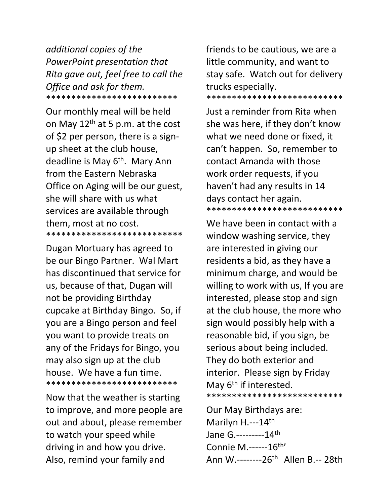*additional copies of the PowerPoint presentation that Rita gave out, feel free to call the Office and ask for them.*  \*\*\*\*\*\*\*\*\*\*\*\*\*\*\*\*\*\*\*\*\*\*\*\*\*\*

Our monthly meal will be held on May  $12<sup>th</sup>$  at 5 p.m. at the cost of \$2 per person, there is a signup sheet at the club house, deadline is May 6<sup>th</sup>. Mary Ann from the Eastern Nebraska Office on Aging will be our guest, she will share with us what services are available through them, most at no cost. \*\*\*\*\*\*\*\*\*\*\*\*\*\*\*\*\*\*\*\*\*\*\*\*\*\*\*

Dugan Mortuary has agreed to be our Bingo Partner. Wal Mart has discontinued that service for us, because of that, Dugan will not be providing Birthday cupcake at Birthday Bingo. So, if you are a Bingo person and feel you want to provide treats on any of the Fridays for Bingo, you may also sign up at the club house. We have a fun time. \*\*\*\*\*\*\*\*\*\*\*\*\*\*\*\*\*\*\*\*\*\*\*\*\*\*

Now that the weather is starting to improve, and more people are out and about, please remember to watch your speed while driving in and how you drive. Also, remind your family and

friends to be cautious, we are a little community, and want to stay safe. Watch out for delivery trucks especially. \*\*\*\*\*\*\*\*\*\*\*\*\*\*\*\*\*\*\*\*\*\*\*\*\*\*\*

Just a reminder from Rita when she was here, if they don't know what we need done or fixed, it can't happen. So, remember to contact Amanda with those work order requests, if you haven't had any results in 14 days contact her again. \*\*\*\*\*\*\*\*\*\*\*\*\*\*\*\*\*\*\*\*\*\*\*\*\*\*\*

We have been in contact with a window washing service, they are interested in giving our residents a bid, as they have a minimum charge, and would be willing to work with us, If you are interested, please stop and sign at the club house, the more who sign would possibly help with a reasonable bid, if you sign, be serious about being included. They do both exterior and interior. Please sign by Friday May 6<sup>th</sup> if interested. \*\*\*\*\*\*\*\*\*\*\*\*\*\*\*\*\*\*\*\*\*\*\*\*\*\*\*

Our May Birthdays are: Marilyn H.---14<sup>th</sup> Jane G.---------14th Connie M.------16<sup>th</sup>' Ann W.--------26<sup>th</sup> Allen B.-- 28th